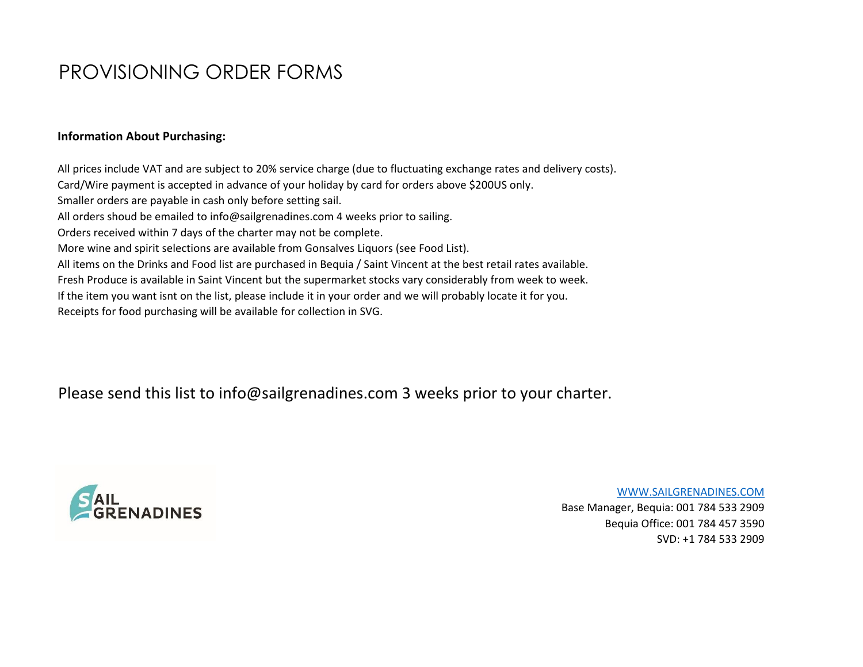# PROVISIONING ORDER FORMS

#### **Information About Purchasing:**

All prices include VAT and are subject to 20% service charge (due to fluctuating exchange rates and delivery costs). Card/Wire payment is accepted in advance of your holiday by card for orders above \$200US only. Smaller orders are payable in cash only before setting sail. All orders shoud be emailed to info@sailgrenadines.com 4 weeks prior to sailing. Orders received within 7 days of the charter may not be complete. More wine and spirit selections are available from Gonsalves Liquors (see Food List). All items on the Drinks and Food list are purchased in Bequia / Saint Vincent at the best retail rates available. Fresh Produce is available in Saint Vincent but the supermarket stocks vary considerably from week to week. If the item you want isnt on the list, please include it in your order and we will probably locate it for you. Receipts for food purchasing will be available for collection in SVG.

Please send this list to info@sailgrenadines.com 3 weeks prior to your charter.



[WWW.SAILGRENADINES.COM](http://www.sailgrenadines.com/) Base Manager, Bequia: 001 784 533 2909 Bequia Office: 001 784 457 3590 SVD: +1 784 533 2909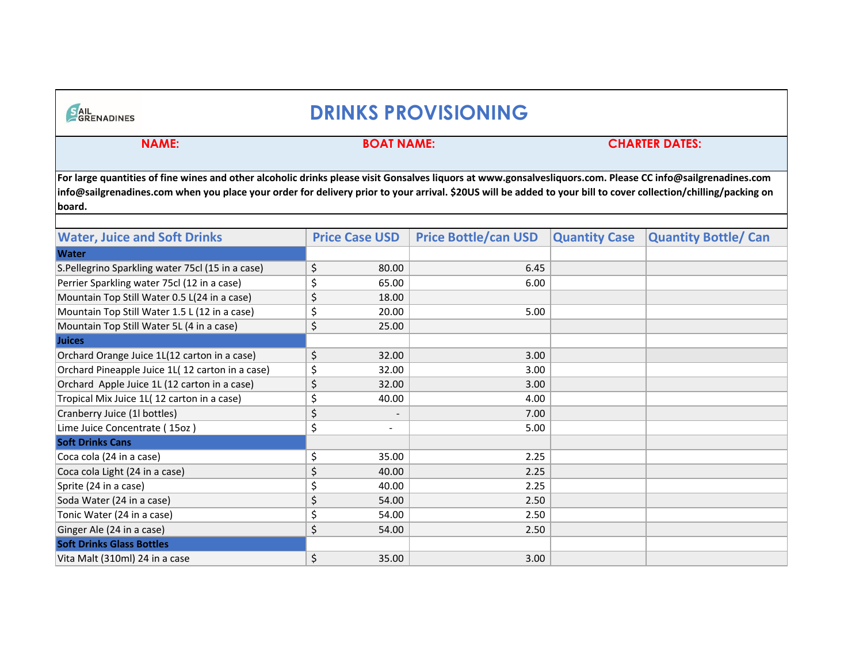## **DRINKS PROVISIONING**

SAIL

#### **NAME: BOAT NAME: CHARTER DATES:**

**For large quantities of fine wines and other alcoholic drinks please visit Gonsalves liquors at www.gonsalvesliquors.com. Please CC info@sailgrenadines.com info@sailgrenadines.com when you place your order for delivery prior to your arrival. \$20US will be added to your bill to cover collection/chilling/packing on board.**

| <b>Water, Juice and Soft Drinks</b>              | <b>Price Case USD</b>          | <b>Price Bottle/can USD</b> | <b>Quantity Case</b> | <b>Quantity Bottle/ Can</b> |
|--------------------------------------------------|--------------------------------|-----------------------------|----------------------|-----------------------------|
|                                                  |                                |                             |                      |                             |
| <b>Water</b>                                     |                                |                             |                      |                             |
| S.Pellegrino Sparkling water 75cl (15 in a case) | \$<br>80.00                    | 6.45                        |                      |                             |
| Perrier Sparkling water 75cl (12 in a case)      | \$<br>65.00                    | 6.00                        |                      |                             |
| Mountain Top Still Water 0.5 L(24 in a case)     | \$<br>18.00                    |                             |                      |                             |
| Mountain Top Still Water 1.5 L (12 in a case)    | \$<br>20.00                    | 5.00                        |                      |                             |
| Mountain Top Still Water 5L (4 in a case)        | \$<br>25.00                    |                             |                      |                             |
| <b>Juices</b>                                    |                                |                             |                      |                             |
| Orchard Orange Juice 1L(12 carton in a case)     | \$<br>32.00                    | 3.00                        |                      |                             |
| Orchard Pineapple Juice 1L(12 carton in a case)  | \$<br>32.00                    | 3.00                        |                      |                             |
| Orchard Apple Juice 1L (12 carton in a case)     | \$<br>32.00                    | 3.00                        |                      |                             |
| Tropical Mix Juice 1L(12 carton in a case)       | \$<br>40.00                    | 4.00                        |                      |                             |
| Cranberry Juice (1l bottles)                     | \$<br>$\overline{\phantom{a}}$ | 7.00                        |                      |                             |
| Lime Juice Concentrate (15oz)                    | \$<br>$\overline{\phantom{a}}$ | 5.00                        |                      |                             |
| <b>Soft Drinks Cans</b>                          |                                |                             |                      |                             |
| Coca cola (24 in a case)                         | \$<br>35.00                    | 2.25                        |                      |                             |
| Coca cola Light (24 in a case)                   | \$<br>40.00                    | 2.25                        |                      |                             |
| Sprite (24 in a case)                            | \$<br>40.00                    | 2.25                        |                      |                             |
| Soda Water (24 in a case)                        | \$<br>54.00                    | 2.50                        |                      |                             |
| Tonic Water (24 in a case)                       | \$<br>54.00                    | 2.50                        |                      |                             |
| Ginger Ale (24 in a case)                        | \$<br>54.00                    | 2.50                        |                      |                             |
| <b>Soft Drinks Glass Bottles</b>                 |                                |                             |                      |                             |
| Vita Malt (310ml) 24 in a case                   | \$<br>35.00                    | 3.00                        |                      |                             |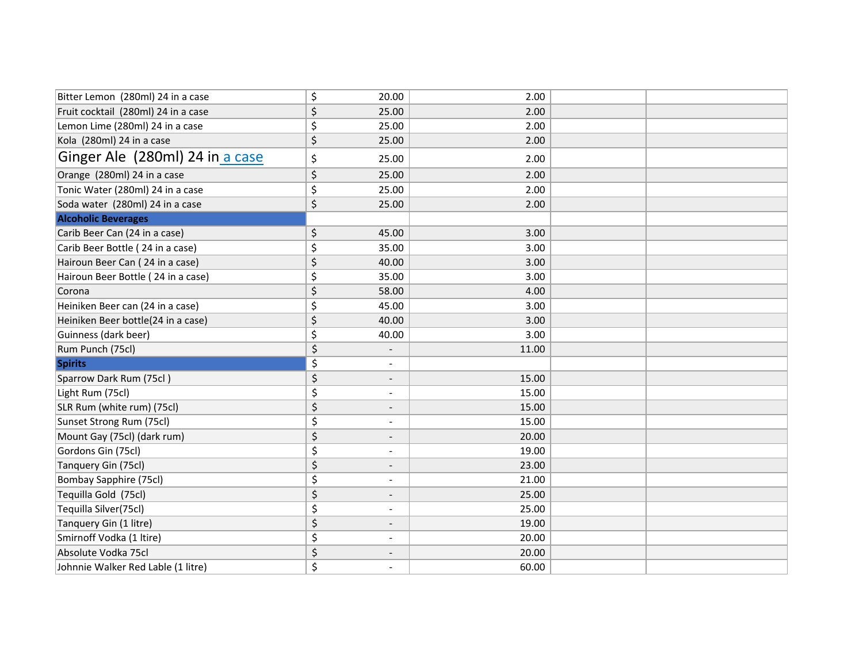| Bitter Lemon (280ml) 24 in a case   | \$<br>20.00                    | 2.00  |  |
|-------------------------------------|--------------------------------|-------|--|
| Fruit cocktail (280ml) 24 in a case | \$<br>25.00                    | 2.00  |  |
| Lemon Lime (280ml) 24 in a case     | \$<br>25.00                    | 2.00  |  |
| Kola (280ml) 24 in a case           | \$<br>25.00                    | 2.00  |  |
| Ginger Ale (280ml) 24 in a case     | \$<br>25.00                    | 2.00  |  |
| Orange (280ml) 24 in a case         | \$<br>25.00                    | 2.00  |  |
| Tonic Water (280ml) 24 in a case    | \$<br>25.00                    | 2.00  |  |
| Soda water (280ml) 24 in a case     | \$<br>25.00                    | 2.00  |  |
| <b>Alcoholic Beverages</b>          |                                |       |  |
| Carib Beer Can (24 in a case)       | \$<br>45.00                    | 3.00  |  |
| Carib Beer Bottle (24 in a case)    | \$<br>35.00                    | 3.00  |  |
| Hairoun Beer Can (24 in a case)     | \$<br>40.00                    | 3.00  |  |
| Hairoun Beer Bottle (24 in a case)  | \$<br>35.00                    | 3.00  |  |
| Corona                              | \$<br>58.00                    | 4.00  |  |
| Heiniken Beer can (24 in a case)    | \$<br>45.00                    | 3.00  |  |
| Heiniken Beer bottle(24 in a case)  | \$<br>40.00                    | 3.00  |  |
| Guinness (dark beer)                | \$<br>40.00                    | 3.00  |  |
| Rum Punch (75cl)                    | \$                             | 11.00 |  |
| <b>Spirits</b>                      | \$<br>$\overline{\phantom{a}}$ |       |  |
| Sparrow Dark Rum (75cl)             | \$                             | 15.00 |  |
| Light Rum (75cl)                    | \$                             | 15.00 |  |
| SLR Rum (white rum) (75cl)          | \$<br>$\overline{\phantom{a}}$ | 15.00 |  |
| Sunset Strong Rum (75cl)            | \$<br>$\overline{\phantom{a}}$ | 15.00 |  |
| Mount Gay (75cl) (dark rum)         | \$<br>$\overline{\phantom{a}}$ | 20.00 |  |
| Gordons Gin (75cl)                  | \$                             | 19.00 |  |
| Tanquery Gin (75cl)                 | \$<br>$\overline{\phantom{a}}$ | 23.00 |  |
| <b>Bombay Sapphire (75cl)</b>       | \$<br>$\overline{\phantom{a}}$ | 21.00 |  |
| Tequilla Gold (75cl)                | \$<br>$\overline{\phantom{a}}$ | 25.00 |  |
| Tequilla Silver(75cl)               | \$<br>$\blacksquare$           | 25.00 |  |
| Tanquery Gin (1 litre)              | \$<br>$\overline{\phantom{a}}$ | 19.00 |  |
| Smirnoff Vodka (1 ltire)            | \$<br>$\blacksquare$           | 20.00 |  |
| Absolute Vodka 75cl                 | \$<br>$\overline{\phantom{a}}$ | 20.00 |  |
| Johnnie Walker Red Lable (1 litre)  | \$                             | 60.00 |  |
|                                     |                                |       |  |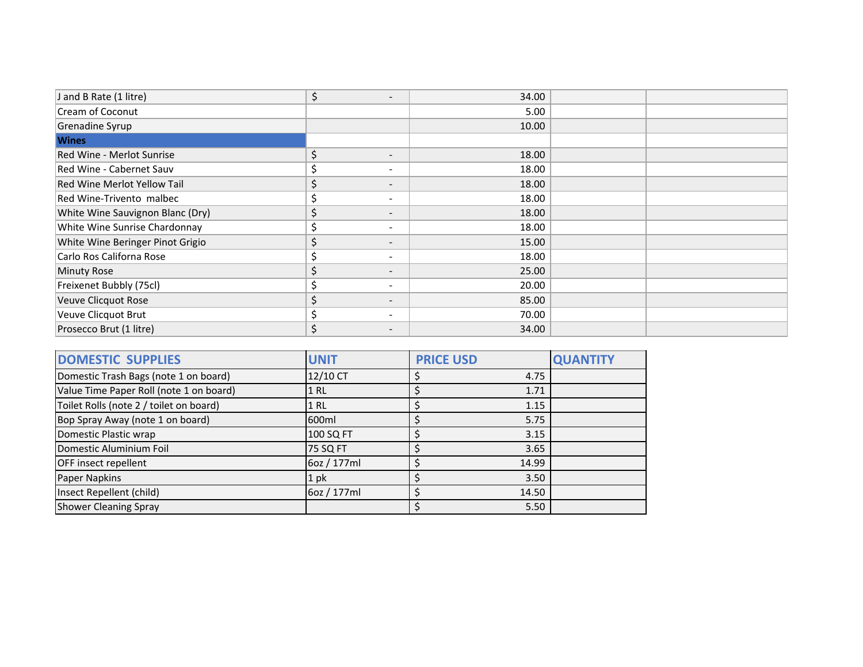| J and B Rate (1 litre)             | \$<br>$\overline{\phantom{0}}$ | 34.00 |  |
|------------------------------------|--------------------------------|-------|--|
| Cream of Coconut                   |                                | 5.00  |  |
| Grenadine Syrup                    |                                | 10.00 |  |
| <b>Wines</b>                       |                                |       |  |
| Red Wine - Merlot Sunrise          | \$<br>$\overline{\phantom{a}}$ | 18.00 |  |
| Red Wine - Cabernet Sauv           | \$<br>$\overline{\phantom{a}}$ | 18.00 |  |
| <b>Red Wine Merlot Yellow Tail</b> | \$<br>$\overline{\phantom{0}}$ | 18.00 |  |
| Red Wine-Trivento malbec           | \$<br>$\sim$                   | 18.00 |  |
| White Wine Sauvignon Blanc (Dry)   | \$<br>$\overline{\phantom{a}}$ | 18.00 |  |
| White Wine Sunrise Chardonnay      | \$<br>$\overline{\phantom{a}}$ | 18.00 |  |
| White Wine Beringer Pinot Grigio   | \$<br>$\overline{\phantom{a}}$ | 15.00 |  |
| Carlo Ros Californa Rose           | \$<br>$\overline{\phantom{a}}$ | 18.00 |  |
| <b>Minuty Rose</b>                 | \$<br>$\overline{\phantom{0}}$ | 25.00 |  |
| Freixenet Bubbly (75cl)            | \$<br>$\sim$                   | 20.00 |  |
| Veuve Clicquot Rose                | \$<br>$\overline{\phantom{a}}$ | 85.00 |  |
| Veuve Clicquot Brut                | \$<br>$\overline{\phantom{a}}$ | 70.00 |  |
| Prosecco Brut (1 litre)            | \$<br>$\overline{\phantom{a}}$ | 34.00 |  |

| <b>DOMESTIC SUPPLIES</b>                | <b>UNIT</b> | <b>PRICE USD</b> | <b>QUANTITY</b> |
|-----------------------------------------|-------------|------------------|-----------------|
| Domestic Trash Bags (note 1 on board)   | 12/10 CT    | 4.75             |                 |
| Value Time Paper Roll (note 1 on board) | 1 RL        | 1.71             |                 |
| Toilet Rolls (note 2 / toilet on board) | <b>1 RL</b> | 1.15             |                 |
| Bop Spray Away (note 1 on board)        | 600ml       | 5.75             |                 |
| Domestic Plastic wrap                   | 100 SQ FT   | 3.15             |                 |
| Domestic Aluminium Foil                 | 75 SQ FT    | 3.65             |                 |
| OFF insect repellent                    | 6oz / 177ml | 14.99            |                 |
| Paper Napkins                           | 1 pk        | 3.50             |                 |
| Insect Repellent (child)                | 6oz / 177ml | 14.50            |                 |
| <b>Shower Cleaning Spray</b>            |             | 5.50             |                 |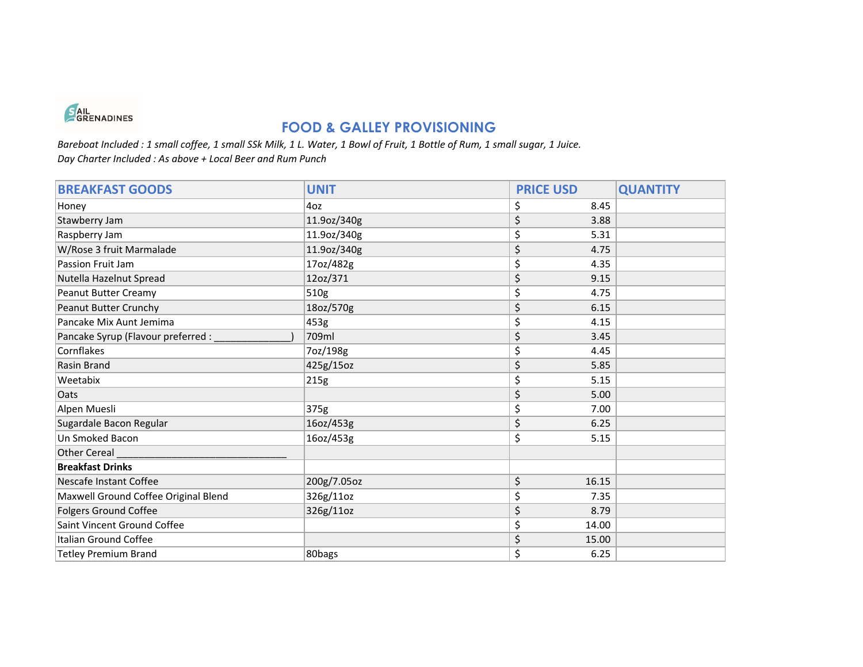

### **FOOD & GALLEY PROVISIONING**

*Bareboat Included : 1 small coffee, 1 small SSk Milk, 1 L. Water, 1 Bowl of Fruit, 1 Bottle of Rum, 1 small sugar, 1 Juice. Day Charter Included : As above + Local Beer and Rum Punch*

| <b>BREAKFAST GOODS</b>               | <b>UNIT</b> | <b>PRICE USD</b> | <b>QUANTITY</b> |
|--------------------------------------|-------------|------------------|-----------------|
| Honey                                | 4oz         | \$<br>8.45       |                 |
| Stawberry Jam                        | 11.9oz/340g | \$<br>3.88       |                 |
| Raspberry Jam                        | 11.9oz/340g | \$<br>5.31       |                 |
| W/Rose 3 fruit Marmalade             | 11.9oz/340g | \$<br>4.75       |                 |
| Passion Fruit Jam                    | 17oz/482g   | \$<br>4.35       |                 |
| Nutella Hazelnut Spread              | 12oz/371    | \$<br>9.15       |                 |
| Peanut Butter Creamy                 | 510g        | \$<br>4.75       |                 |
| Peanut Butter Crunchy                | 18oz/570g   | \$<br>6.15       |                 |
| Pancake Mix Aunt Jemima              | 453g        | \$<br>4.15       |                 |
| Pancake Syrup (Flavour preferred :   | 709ml       | \$<br>3.45       |                 |
| Cornflakes                           | 7oz/198g    | \$<br>4.45       |                 |
| Rasin Brand                          | 425g/15oz   | \$<br>5.85       |                 |
| Weetabix                             | 215g        | \$<br>5.15       |                 |
| Oats                                 |             | \$<br>5.00       |                 |
| Alpen Muesli                         | 375g        | \$<br>7.00       |                 |
| Sugardale Bacon Regular              | 16oz/453g   | \$<br>6.25       |                 |
| Un Smoked Bacon                      | 16oz/453g   | \$<br>5.15       |                 |
| Other Cereal                         |             |                  |                 |
| <b>Breakfast Drinks</b>              |             |                  |                 |
| Nescafe Instant Coffee               | 200g/7.05oz | \$<br>16.15      |                 |
| Maxwell Ground Coffee Original Blend | 326g/11oz   | \$<br>7.35       |                 |
| <b>Folgers Ground Coffee</b>         | 326g/11oz   | \$<br>8.79       |                 |
| Saint Vincent Ground Coffee          |             | \$<br>14.00      |                 |
| Italian Ground Coffee                |             | \$<br>15.00      |                 |
| <b>Tetley Premium Brand</b>          | 80bags      | \$<br>6.25       |                 |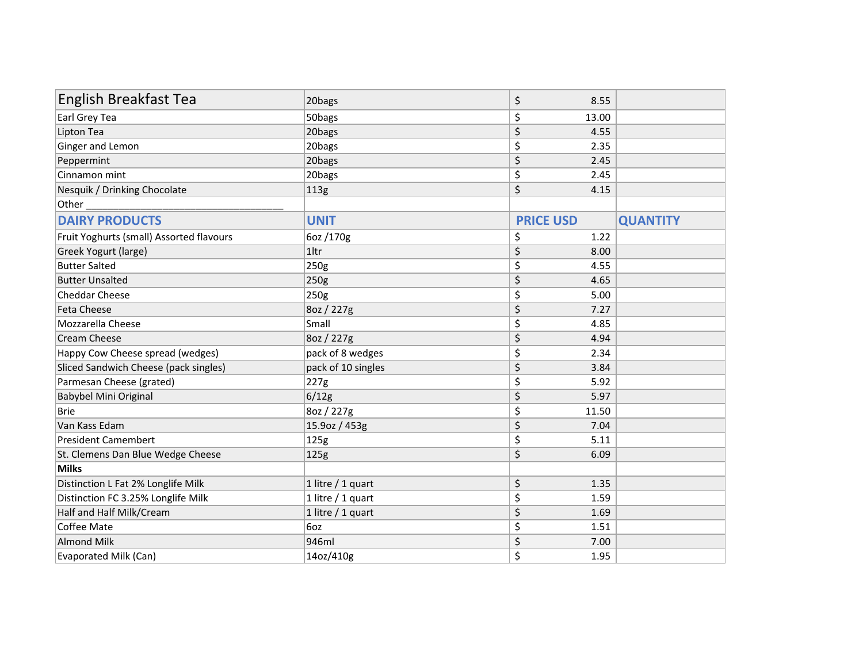| <b>English Breakfast Tea</b>             | 20bags             | \$<br>8.55       |                 |
|------------------------------------------|--------------------|------------------|-----------------|
| Earl Grey Tea                            | 50bags             | \$<br>13.00      |                 |
| Lipton Tea                               | 20bags             | \$<br>4.55       |                 |
| Ginger and Lemon                         | 20bags             | \$<br>2.35       |                 |
| Peppermint                               | 20bags             | \$<br>2.45       |                 |
| Cinnamon mint                            | 20bags             | \$<br>2.45       |                 |
| Nesquik / Drinking Chocolate             | 113g               | \$<br>4.15       |                 |
| Other                                    |                    |                  |                 |
| <b>DAIRY PRODUCTS</b>                    | <b>UNIT</b>        | <b>PRICE USD</b> | <b>QUANTITY</b> |
| Fruit Yoghurts (small) Assorted flavours | 6oz /170g          | \$<br>1.22       |                 |
| Greek Yogurt (large)                     | 1ltr               | \$<br>8.00       |                 |
| <b>Butter Salted</b>                     | 250g               | \$<br>4.55       |                 |
| <b>Butter Unsalted</b>                   | 250g               | \$<br>4.65       |                 |
| <b>Cheddar Cheese</b>                    | 250g               | \$<br>5.00       |                 |
| Feta Cheese                              | 8oz / 227g         | \$<br>7.27       |                 |
| Mozzarella Cheese                        | Small              | \$<br>4.85       |                 |
| <b>Cream Cheese</b>                      | 8oz / 227g         | \$<br>4.94       |                 |
| Happy Cow Cheese spread (wedges)         | pack of 8 wedges   | \$<br>2.34       |                 |
| Sliced Sandwich Cheese (pack singles)    | pack of 10 singles | \$<br>3.84       |                 |
| Parmesan Cheese (grated)                 | 227g               | \$<br>5.92       |                 |
| Babybel Mini Original                    | 6/12g              | \$<br>5.97       |                 |
| <b>Brie</b>                              | 8oz / 227g         | \$<br>11.50      |                 |
| Van Kass Edam                            | 15.9oz / 453g      | \$<br>7.04       |                 |
| <b>President Camembert</b>               | 125g               | \$<br>5.11       |                 |
| St. Clemens Dan Blue Wedge Cheese        | 125g               | \$<br>6.09       |                 |
| <b>Milks</b>                             |                    |                  |                 |
| Distinction L Fat 2% Longlife Milk       | 1 litre / 1 quart  | \$<br>1.35       |                 |
| Distinction FC 3.25% Longlife Milk       | 1 litre / 1 quart  | \$<br>1.59       |                 |
| Half and Half Milk/Cream                 | 1 litre / 1 quart  | \$<br>1.69       |                 |
| Coffee Mate                              | 6oz                | \$<br>1.51       |                 |
| <b>Almond Milk</b>                       | 946ml              | \$<br>7.00       |                 |
| Evaporated Milk (Can)                    | 14oz/410g          | \$<br>1.95       |                 |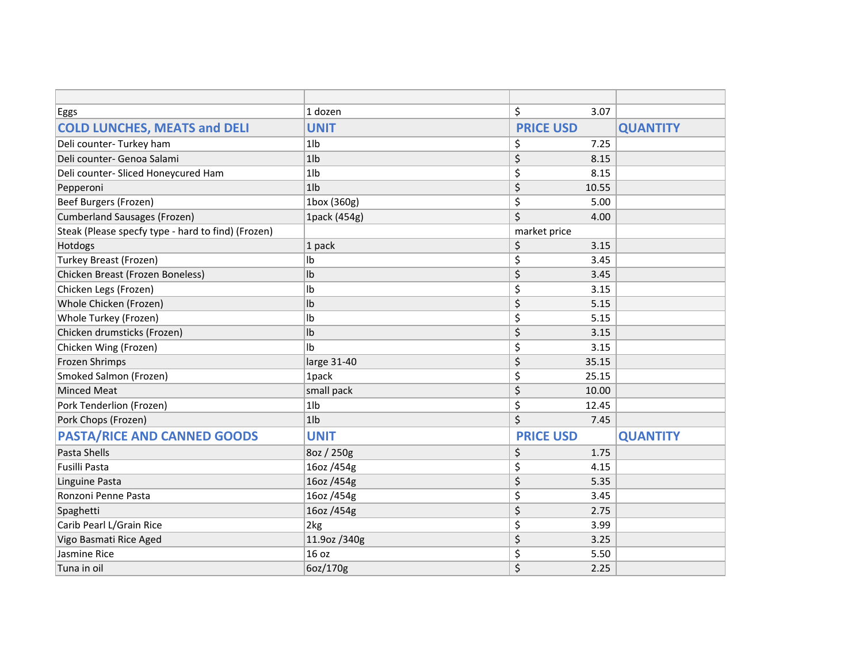| <b>Eggs</b>                                        | 1 dozen        | \$<br>3.07       |                 |
|----------------------------------------------------|----------------|------------------|-----------------|
| <b>COLD LUNCHES, MEATS and DELI</b>                | <b>UNIT</b>    | <b>PRICE USD</b> | <b>QUANTITY</b> |
| Deli counter- Turkey ham                           | $1$ lb         | \$<br>7.25       |                 |
| Deli counter- Genoa Salami                         | 1 <sub>1</sub> | \$<br>8.15       |                 |
| Deli counter- Sliced Honeycured Ham                | 1 <sub>1</sub> | \$<br>8.15       |                 |
| Pepperoni                                          | 1 <sub>1</sub> | \$<br>10.55      |                 |
| Beef Burgers (Frozen)                              | 1box (360g)    | \$<br>5.00       |                 |
| Cumberland Sausages (Frozen)                       | 1pack (454g)   | \$<br>4.00       |                 |
| Steak (Please specfy type - hard to find) (Frozen) |                | market price     |                 |
| Hotdogs                                            | 1 pack         | \$<br>3.15       |                 |
| Turkey Breast (Frozen)                             | Ib             | \$<br>3.45       |                 |
| Chicken Breast (Frozen Boneless)                   | Ib             | \$<br>3.45       |                 |
| Chicken Legs (Frozen)                              | lb             | \$<br>3.15       |                 |
| Whole Chicken (Frozen)                             | Ib             | \$<br>5.15       |                 |
| Whole Turkey (Frozen)                              | Ib             | \$<br>5.15       |                 |
| Chicken drumsticks (Frozen)                        | Ib             | \$<br>3.15       |                 |
| Chicken Wing (Frozen)                              | Ib             | \$<br>3.15       |                 |
| Frozen Shrimps                                     | large 31-40    | \$<br>35.15      |                 |
| Smoked Salmon (Frozen)                             | 1pack          | \$<br>25.15      |                 |
| Minced Meat                                        | small pack     | \$<br>10.00      |                 |
| Pork Tenderlion (Frozen)                           | 1 <sub>1</sub> | \$<br>12.45      |                 |
| Pork Chops (Frozen)                                | 1 <sub>1</sub> | \$<br>7.45       |                 |
| <b>PASTA/RICE AND CANNED GOODS</b>                 | <b>UNIT</b>    | <b>PRICE USD</b> | <b>QUANTITY</b> |
| Pasta Shells                                       | 8oz / 250g     | \$<br>1.75       |                 |
| Fusilli Pasta                                      | 16oz /454g     | \$<br>4.15       |                 |
| Linguine Pasta                                     | 16oz /454g     | \$<br>5.35       |                 |
| Ronzoni Penne Pasta                                | 16oz /454g     | \$<br>3.45       |                 |
| Spaghetti                                          | 16oz /454g     | \$<br>2.75       |                 |
| Carib Pearl L/Grain Rice                           | 2kg            | \$<br>3.99       |                 |
| Vigo Basmati Rice Aged                             | 11.9oz /340g   | \$<br>3.25       |                 |
| Jasmine Rice                                       | 16 oz          | \$<br>5.50       |                 |
| Tuna in oil                                        | 6oz/170g       | \$<br>2.25       |                 |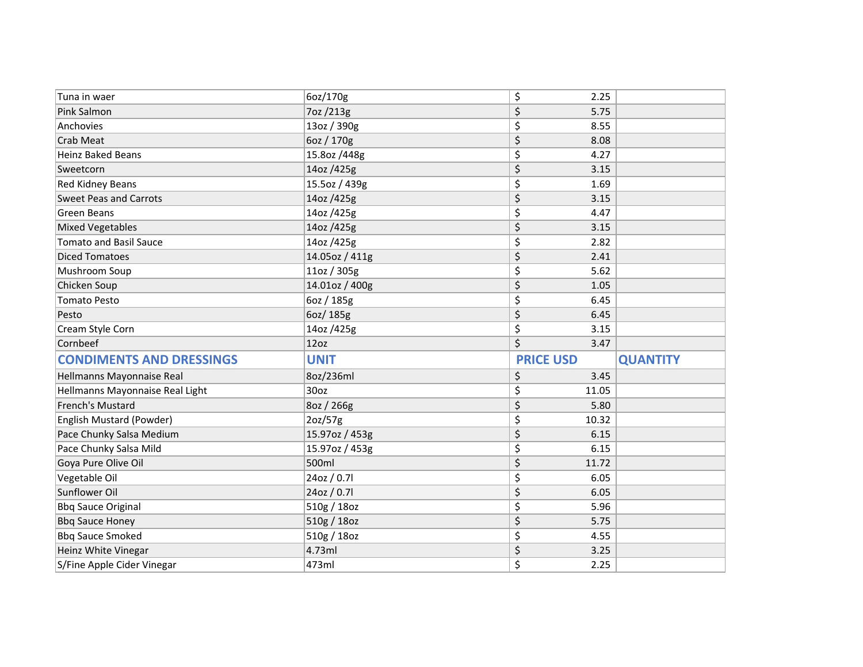| Tuna in waer                    | 6oz/170g       | \$<br>2.25       |                 |
|---------------------------------|----------------|------------------|-----------------|
| Pink Salmon                     | 7oz /213g      | \$<br>5.75       |                 |
| Anchovies                       | 13oz / 390g    | \$<br>8.55       |                 |
| Crab Meat                       | 6oz / 170g     | \$<br>8.08       |                 |
| <b>Heinz Baked Beans</b>        | 15.8oz /448g   | \$<br>4.27       |                 |
| Sweetcorn                       | 14oz /425g     | \$<br>3.15       |                 |
| Red Kidney Beans                | 15.5oz / 439g  | \$<br>1.69       |                 |
| <b>Sweet Peas and Carrots</b>   | 14oz /425g     | \$<br>3.15       |                 |
| Green Beans                     | 14oz /425g     | \$<br>4.47       |                 |
| <b>Mixed Vegetables</b>         | 14oz /425g     | \$<br>3.15       |                 |
| <b>Tomato and Basil Sauce</b>   | 14oz /425g     | \$<br>2.82       |                 |
| <b>Diced Tomatoes</b>           | 14.05oz / 411g | \$<br>2.41       |                 |
| Mushroom Soup                   | 11oz / 305g    | \$<br>5.62       |                 |
| Chicken Soup                    | 14.01oz / 400g | \$<br>1.05       |                 |
| <b>Tomato Pesto</b>             | 6oz / 185g     | \$<br>6.45       |                 |
| Pesto                           | 6oz/185g       | \$<br>6.45       |                 |
| Cream Style Corn                | 14oz /425g     | \$<br>3.15       |                 |
| Cornbeef                        | 12oz           | \$<br>3.47       |                 |
| <b>CONDIMENTS AND DRESSINGS</b> | <b>UNIT</b>    | <b>PRICE USD</b> | <b>QUANTITY</b> |
| Hellmanns Mayonnaise Real       | 8oz/236ml      | \$<br>3.45       |                 |
| Hellmanns Mayonnaise Real Light | 30oz           | \$<br>11.05      |                 |
| French's Mustard                | 8oz / 266g     | \$<br>5.80       |                 |
| English Mustard (Powder)        | 2oz/57g        | \$<br>10.32      |                 |
| Pace Chunky Salsa Medium        | 15.97oz / 453g | \$<br>6.15       |                 |
| Pace Chunky Salsa Mild          | 15.97oz / 453g | \$<br>6.15       |                 |
| Goya Pure Olive Oil             | 500ml          | \$<br>11.72      |                 |
| Vegetable Oil                   | 24oz / 0.71    | \$<br>6.05       |                 |
| Sunflower Oil                   | 24oz / 0.7l    | \$<br>6.05       |                 |
| <b>Bbq Sauce Original</b>       | 510g / 18oz    | \$<br>5.96       |                 |
|                                 |                |                  |                 |
| <b>Bbq Sauce Honey</b>          | 510g / 18oz    | \$<br>5.75       |                 |
| <b>Bbq Sauce Smoked</b>         | 510g / 18oz    | \$<br>4.55       |                 |
| Heinz White Vinegar             | 4.73ml         | \$<br>3.25       |                 |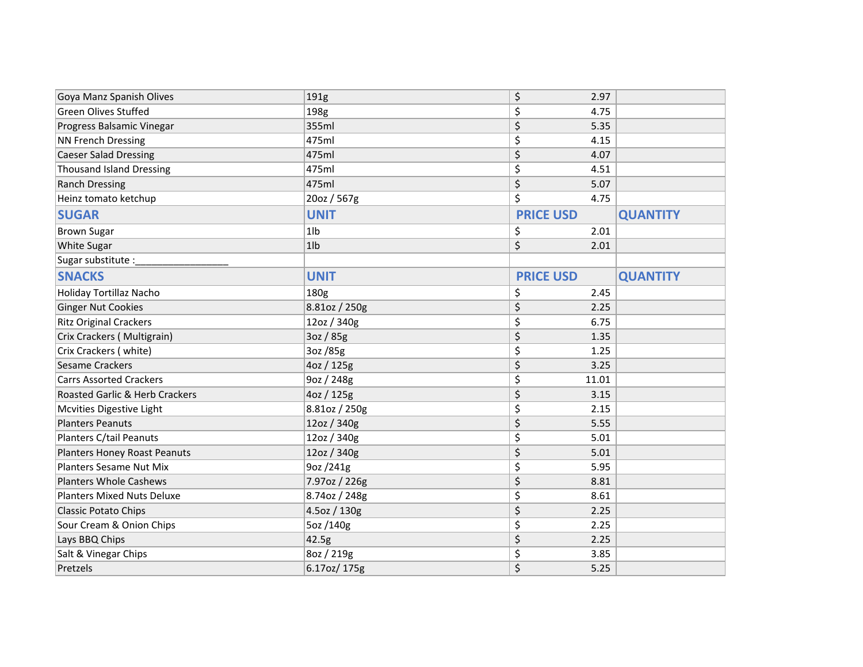| Goya Manz Spanish Olives            | 191g           | \$<br>2.97       |                 |
|-------------------------------------|----------------|------------------|-----------------|
| <b>Green Olives Stuffed</b>         | 198g           | \$<br>4.75       |                 |
| Progress Balsamic Vinegar           | 355ml          | \$<br>5.35       |                 |
| <b>NN French Dressing</b>           | 475ml          | \$<br>4.15       |                 |
| <b>Caeser Salad Dressing</b>        | 475ml          | \$<br>4.07       |                 |
| <b>Thousand Island Dressing</b>     | 475ml          | \$<br>4.51       |                 |
| <b>Ranch Dressing</b>               | 475ml          | \$<br>5.07       |                 |
| Heinz tomato ketchup                | 20oz / 567g    | \$<br>4.75       |                 |
| <b>SUGAR</b>                        | <b>UNIT</b>    | <b>PRICE USD</b> | <b>QUANTITY</b> |
| <b>Brown Sugar</b>                  | 1 <sub>1</sub> | \$<br>2.01       |                 |
| <b>White Sugar</b>                  | $1$ lb         | \$<br>2.01       |                 |
| Sugar substitute :                  |                |                  |                 |
| <b>SNACKS</b>                       | <b>UNIT</b>    | <b>PRICE USD</b> | <b>QUANTITY</b> |
| Holiday Tortillaz Nacho             | 180g           | \$<br>2.45       |                 |
| <b>Ginger Nut Cookies</b>           | 8.81oz / 250g  | \$<br>2.25       |                 |
| <b>Ritz Original Crackers</b>       | 12oz / 340g    | \$<br>6.75       |                 |
| Crix Crackers (Multigrain)          | 3oz / 85g      | \$<br>1.35       |                 |
| Crix Crackers (white)               | 3oz /85g       | \$<br>1.25       |                 |
| <b>Sesame Crackers</b>              | 4oz / 125g     | \$<br>3.25       |                 |
| <b>Carrs Assorted Crackers</b>      | 9oz / 248g     | \$<br>11.01      |                 |
| Roasted Garlic & Herb Crackers      | 4oz / 125g     | \$<br>3.15       |                 |
| Mcvities Digestive Light            | 8.81oz / 250g  | \$<br>2.15       |                 |
| <b>Planters Peanuts</b>             | 12oz / 340g    | \$<br>5.55       |                 |
| Planters C/tail Peanuts             | 12oz / 340g    | \$<br>5.01       |                 |
| <b>Planters Honey Roast Peanuts</b> | 12oz / 340g    | \$<br>5.01       |                 |
| <b>Planters Sesame Nut Mix</b>      | 9oz /241g      | \$<br>5.95       |                 |
| <b>Planters Whole Cashews</b>       | 7.97oz / 226g  | \$<br>8.81       |                 |
| <b>Planters Mixed Nuts Deluxe</b>   | 8.74oz / 248g  | \$<br>8.61       |                 |
| Classic Potato Chips                | 4.5oz / 130g   | \$<br>2.25       |                 |
| Sour Cream & Onion Chips            | 5oz /140g      | \$<br>2.25       |                 |
| Lays BBQ Chips                      | 42.5g          | \$<br>2.25       |                 |
| Salt & Vinegar Chips                | 8oz / 219g     | \$<br>3.85       |                 |
| Pretzels                            | 6.17oz/ 175g   | \$<br>5.25       |                 |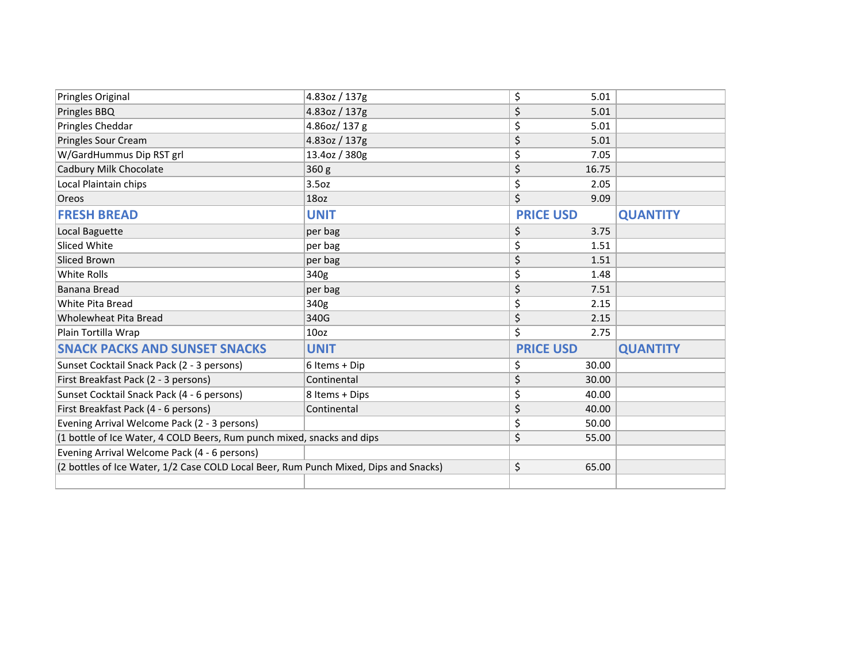| Pringles Original                                                                    | 4.83oz / 137g    | \$<br>5.01       |                 |
|--------------------------------------------------------------------------------------|------------------|------------------|-----------------|
| Pringles BBQ                                                                         | 4.83oz / 137g    | \$<br>5.01       |                 |
| Pringles Cheddar                                                                     | 4.86oz/137g      | \$<br>5.01       |                 |
| Pringles Sour Cream                                                                  | 4.83oz / 137g    | \$<br>5.01       |                 |
| W/GardHummus Dip RST grl                                                             | 13.4oz / 380g    | \$<br>7.05       |                 |
| Cadbury Milk Chocolate                                                               | 360 g            | \$<br>16.75      |                 |
| Local Plaintain chips                                                                | 3.5oz            | \$<br>2.05       |                 |
| Oreos                                                                                | 18oz             | \$<br>9.09       |                 |
| <b>FRESH BREAD</b>                                                                   | <b>UNIT</b>      | <b>PRICE USD</b> | <b>QUANTITY</b> |
| Local Baguette                                                                       | per bag          | \$<br>3.75       |                 |
| Sliced White                                                                         | per bag          | \$<br>1.51       |                 |
| Sliced Brown                                                                         | per bag          | \$<br>1.51       |                 |
| White Rolls                                                                          | 340g             | \$<br>1.48       |                 |
| Banana Bread                                                                         | per bag          | \$<br>7.51       |                 |
| White Pita Bread                                                                     | 340g             | \$<br>2.15       |                 |
| <b>Wholewheat Pita Bread</b>                                                         | 340G             | \$<br>2.15       |                 |
| Plain Tortilla Wrap                                                                  | 10 <sub>oz</sub> | \$<br>2.75       |                 |
| <b>SNACK PACKS AND SUNSET SNACKS</b>                                                 | <b>UNIT</b>      | <b>PRICE USD</b> | <b>QUANTITY</b> |
| Sunset Cocktail Snack Pack (2 - 3 persons)                                           | 6 Items + Dip    | \$<br>30.00      |                 |
| First Breakfast Pack (2 - 3 persons)                                                 | Continental      | \$<br>30.00      |                 |
| Sunset Cocktail Snack Pack (4 - 6 persons)                                           | 8 Items + Dips   | \$<br>40.00      |                 |
| First Breakfast Pack (4 - 6 persons)                                                 | Continental      | \$<br>40.00      |                 |
| Evening Arrival Welcome Pack (2 - 3 persons)                                         |                  | \$<br>50.00      |                 |
| (1 bottle of Ice Water, 4 COLD Beers, Rum punch mixed, snacks and dips               |                  | \$<br>55.00      |                 |
| Evening Arrival Welcome Pack (4 - 6 persons)                                         |                  |                  |                 |
| (2 bottles of Ice Water, 1/2 Case COLD Local Beer, Rum Punch Mixed, Dips and Snacks) |                  | \$<br>65.00      |                 |
|                                                                                      |                  |                  |                 |